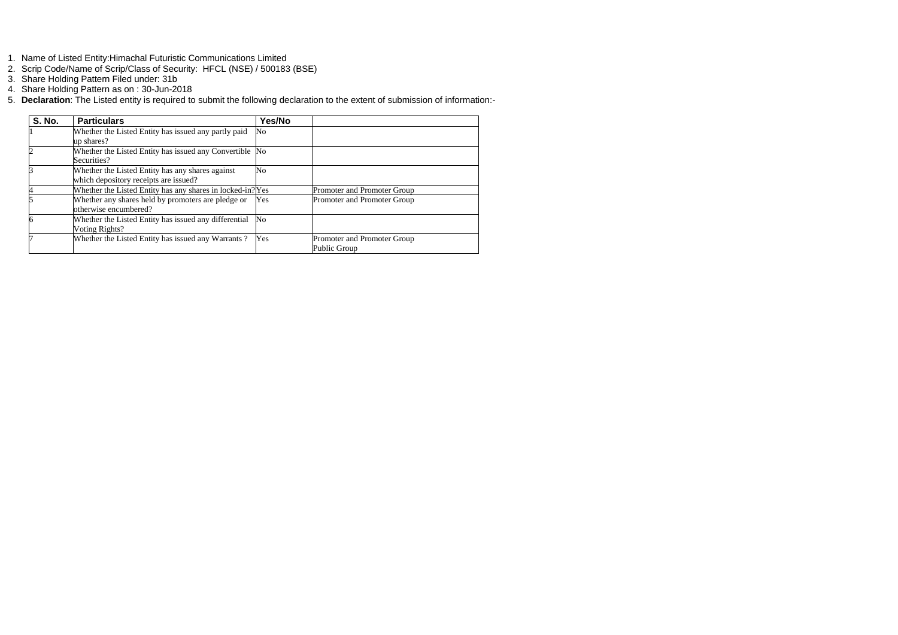- 1. Name of Listed Entity:Himachal Futuristic Communications Limited
- 2. Scrip Code/Name of Scrip/Class of Security: HFCL (NSE) / 500183 (BSE)
- 3. Share Holding Pattern Filed under: 31b
- 4. Share Holding Pattern as on : 30-Jun-2018
- 5. **Declaration**: The Listed entity is required to submit the following declaration to the extent of submission of information:-

| <b>S. No.</b> | <b>Particulars</b>                                         | Yes/No |                             |
|---------------|------------------------------------------------------------|--------|-----------------------------|
|               | Whether the Listed Entity has issued any partly paid       | No     |                             |
|               | up shares?                                                 |        |                             |
|               | Whether the Listed Entity has issued any Convertible No    |        |                             |
|               | Securities?                                                |        |                             |
|               | Whether the Listed Entity has any shares against           | No     |                             |
|               | which depository receipts are issued?                      |        |                             |
|               | Whether the Listed Entity has any shares in locked-in? Yes |        | Promoter and Promoter Group |
|               | Whether any shares held by promoters are pledge or         | Yes    | Promoter and Promoter Group |
|               | otherwise encumbered?                                      |        |                             |
|               | Whether the Listed Entity has issued any differential      | No     |                             |
|               | Voting Rights?                                             |        |                             |
|               | Whether the Listed Entity has issued any Warrants?         | Yes    | Promoter and Promoter Group |
|               |                                                            |        | Public Group                |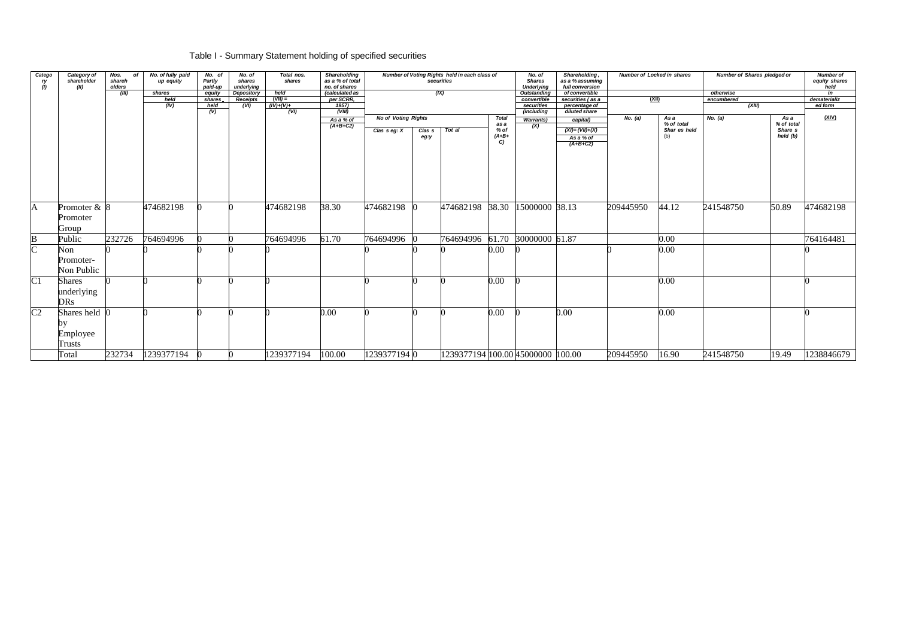## Table I - Summary Statement holding of specified securities

| Catego<br>ry<br>(1)     | Category of<br>shareholder<br>(II)        | Nos.<br>of<br>shareh<br>olders | No. of fully paid<br>up equity | No. of<br>Partly<br>paid-up | No. of<br>shares<br>underlying       | Total nos.<br>shares<br>held | <b>Shareholding</b><br>as a % of total<br>no. of shares<br>(calculated as |                                                | securities        | Number of Voting Rights held in each class of |                         | No. of<br><b>Shares</b><br><b>Underlying</b> | Shareholding,<br>as a % assuming<br>full conversion<br>of convertible | Number of Shares pledged or<br><b>Number of Locked in shares</b><br>otherwise |                                    |            | <b>Number of</b><br>equity shares<br>held<br>in |              |
|-------------------------|-------------------------------------------|--------------------------------|--------------------------------|-----------------------------|--------------------------------------|------------------------------|---------------------------------------------------------------------------|------------------------------------------------|-------------------|-----------------------------------------------|-------------------------|----------------------------------------------|-----------------------------------------------------------------------|-------------------------------------------------------------------------------|------------------------------------|------------|-------------------------------------------------|--------------|
|                         |                                           | (III)                          | shares<br>held                 | equity<br>shares            | <b>Depository</b><br><b>Receipts</b> | $(VII) =$                    | per SCRR,                                                                 |                                                | (X)               |                                               |                         | Outstanding<br>convertible                   | securities (as a                                                      | <u>(XII)</u>                                                                  |                                    | encumbered |                                                 | dematerializ |
|                         |                                           |                                | (IV)                           | held                        | (VI)                                 | $(IV)+(V)+$                  | 1957)                                                                     |                                                |                   |                                               |                         | securities                                   | percentage of                                                         |                                                                               |                                    | (XIII)     |                                                 | ed form      |
|                         |                                           |                                |                                | (V)                         |                                      | (VI)                         | (VIII)                                                                    |                                                |                   |                                               |                         | (including                                   | diluted share                                                         |                                                                               |                                    |            |                                                 |              |
|                         |                                           |                                |                                |                             |                                      |                              | As a % of<br>$(A+B+C2)$                                                   | <b>No of Voting Rights</b><br>Clas $s$ eg: $X$ | Clas <sub>s</sub> | Tot al                                        | Total<br>as a<br>$%$ of | <b>Warrants)</b><br>(X)                      | capital)<br>$(XI) = (VII)+(X)$                                        | No. (a)                                                                       | As a<br>% of total<br>Shar es held | No. (a)    | As a<br>% of total<br>Share s                   | (XIV)        |
|                         |                                           |                                |                                |                             |                                      |                              |                                                                           |                                                | eg:y              |                                               | $(A+B+$<br>C            |                                              | As a % of<br>$(A+B+C2)$                                               |                                                                               | (b)                                |            | held (b)                                        |              |
| A                       | Promoter $\&$ 8                           |                                | 474682198                      |                             |                                      | 474682198                    | 38.30                                                                     | 474682198                                      |                   | 474682198                                     |                         | 38.30 15000000 38.13                         |                                                                       | 209445950                                                                     | 44.12                              | 241548750  | 50.89                                           | 474682198    |
|                         | Promoter<br>Group                         |                                |                                |                             |                                      |                              |                                                                           |                                                |                   |                                               |                         |                                              |                                                                       |                                                                               |                                    |            |                                                 |              |
| $\mathbf{B}$            | Public                                    | 232726                         | 764694996                      |                             |                                      | 764694996                    | 61.70                                                                     | 764694996                                      |                   | 764694996                                     | 61.70                   | 30000000 61.87                               |                                                                       |                                                                               | 0.00                               |            |                                                 | 764164481    |
| $\overline{\mathsf{C}}$ | Non<br>Promoter-<br>Non Public            |                                |                                |                             |                                      |                              |                                                                           |                                                |                   |                                               | 0.00                    |                                              |                                                                       |                                                                               | 0.00                               |            |                                                 |              |
| $\overline{C1}$         | <b>Shares</b><br>underlying<br><b>DRs</b> |                                |                                |                             |                                      |                              |                                                                           |                                                |                   |                                               | 0.00                    |                                              |                                                                       |                                                                               | 0.00                               |            |                                                 |              |
| $\overline{\text{C2}}$  | Shares held 0<br>by<br>Employee<br>Trusts |                                |                                |                             |                                      |                              | 0.00                                                                      |                                                |                   |                                               | 0.00                    |                                              | 0.00                                                                  |                                                                               | 0.00                               |            |                                                 |              |
|                         | Total                                     | 232734                         | 1239377194                     |                             |                                      | 1239377194                   | 100.00                                                                    | 1239377194 0                                   |                   | 1239377194 100.00 45000000 100.00             |                         |                                              |                                                                       | 209445950                                                                     | 16.90                              | 241548750  | 19.49                                           | 1238846679   |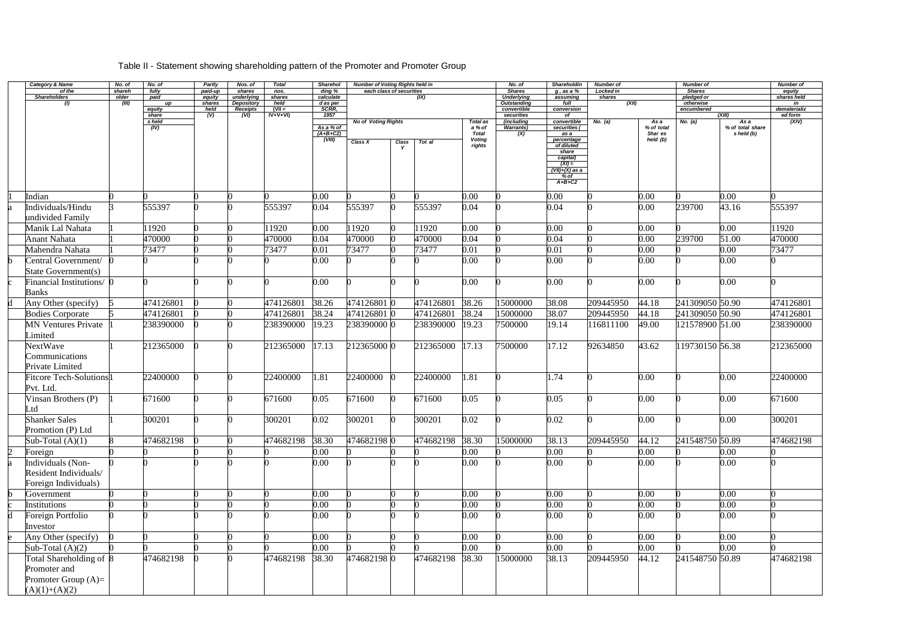## Table II - Statement showing shareholding pattern of the Promoter and Promoter Group

|   | <b>Category &amp; Name</b>    | No. of          | No. of          | <b>Partly</b>     | Nos. of              | <b>Total</b>   | <b>Sharehol</b>      | <b>Number of Voting Rights held in</b> |              |           |                               | No. of                             | Shareholdin              | <b>Number of</b>           |                       | <b>Number of</b>            |                          | <b>Number of</b>      |
|---|-------------------------------|-----------------|-----------------|-------------------|----------------------|----------------|----------------------|----------------------------------------|--------------|-----------|-------------------------------|------------------------------------|--------------------------|----------------------------|-----------------------|-----------------------------|--------------------------|-----------------------|
|   | of the<br><b>Shareholders</b> | shareh<br>older | fully<br>paid   | paid-up<br>equity | shares<br>underlying | nos.<br>shares | ding %<br>calculate  | each class of securities               |              | (IX)      |                               | <b>Shares</b><br><b>Underlying</b> | $g$ , as a $%$           | <b>Locked in</b><br>shares |                       | <b>Shares</b><br>pledged or |                          | equity<br>shares held |
|   | (1)                           | (III)           | up              | shares            | <b>Depository</b>    | held           | $d$ as per           |                                        |              |           |                               | Outstanding                        | assuming<br>full         | (XII)                      |                       | otherwise                   |                          | in                    |
|   |                               |                 | equity          | held              | <b>Receipts</b>      | $(VII =$       | SCRR,                |                                        |              |           |                               | convertible                        | conversion               |                            |                       | encumbered                  |                          | dematerializ          |
|   |                               |                 | share<br>s held | (V)               | (VI)                 | $IV+V+VI)$     | 1957                 | <b>No of Voting Rights</b>             |              |           | Total as                      | securities<br>(including           | of<br>convertible        | No. (a)                    | As a                  | No. (a)                     | (XIII)                   | ed form<br>(XIV)      |
|   |                               |                 | (IV)            |                   |                      |                | As a % of            |                                        |              |           | a % of                        | <b>Warrants)</b>                   | securities (             |                            | % of total            |                             | As a<br>% of total share |                       |
|   |                               |                 |                 |                   |                      |                | $(A+B+C2)$<br>(VIII) |                                        |              |           | <b>Total</b><br><b>Voting</b> | (X)                                | as a                     |                            | Shar es<br>held $(b)$ |                             | s held (b)               |                       |
|   |                               |                 |                 |                   |                      |                |                      | Class X                                | <b>Class</b> | Tot al    | rights                        |                                    | percentage<br>of diluted |                            |                       |                             |                          |                       |
|   |                               |                 |                 |                   |                      |                |                      |                                        |              |           |                               |                                    | share<br>capital)        |                            |                       |                             |                          |                       |
|   |                               |                 |                 |                   |                      |                |                      |                                        |              |           |                               |                                    | $(XI) =$                 |                            |                       |                             |                          |                       |
|   |                               |                 |                 |                   |                      |                |                      |                                        |              |           |                               |                                    | $(VII)+(X)$ as a         |                            |                       |                             |                          |                       |
|   |                               |                 |                 |                   |                      |                |                      |                                        |              |           |                               |                                    | % of<br>$A+B+C2$         |                            |                       |                             |                          |                       |
|   |                               |                 |                 |                   |                      |                |                      |                                        |              |           |                               |                                    |                          |                            |                       |                             |                          |                       |
|   | Indian                        |                 |                 |                   |                      |                | 0.00                 |                                        |              |           | 0.00                          |                                    | 0.00                     |                            | 0.00                  |                             | 0.00                     |                       |
|   | Individuals/Hindu             |                 | 555397          |                   |                      | 555397         | 0.04                 | 555397                                 |              | 555397    | 0.04                          |                                    | 0.04                     |                            | 0.00                  | 239700                      | 43.16                    | 555397                |
|   | undivided Family              |                 |                 |                   |                      |                |                      |                                        |              |           |                               |                                    |                          |                            |                       |                             |                          |                       |
|   | Manik Lal Nahata              |                 | 11920           |                   |                      | 11920          | 0.00                 | 11920                                  |              | 11920     | 0.00                          |                                    | 0.00                     |                            | 0.00                  |                             | 0.00                     | 11920                 |
|   | Anant Nahata                  |                 | 470000          |                   |                      | 470000         | 0.04                 | 470000                                 |              | 470000    | 0.04                          |                                    | 0.04                     |                            | 0.00                  | 239700                      | 51.00                    | 470000                |
|   |                               |                 |                 |                   |                      |                |                      |                                        |              |           |                               |                                    |                          |                            |                       |                             |                          |                       |
|   | Mahendra Nahata               |                 | 73477           |                   |                      | 73477          | 0.01                 | 73477                                  |              | 73477     | 0.01                          |                                    | 0.01                     |                            | 0.00                  |                             | 0.00                     | 73477                 |
|   | Central Government/           |                 |                 |                   |                      |                | 0.00                 |                                        |              |           | 0.00                          |                                    | 0.00                     |                            | 0.00                  |                             | 0.00                     |                       |
|   | State Government(s)           |                 |                 |                   |                      |                |                      |                                        |              |           |                               |                                    |                          |                            |                       |                             |                          |                       |
|   | Financial Institutions/0      |                 |                 |                   |                      |                | 0.00                 |                                        |              |           | 0.00                          |                                    | 0.00                     |                            | 0.00                  |                             | 0.00                     |                       |
|   | <b>Banks</b>                  |                 |                 |                   |                      |                |                      |                                        |              |           |                               |                                    |                          |                            |                       |                             |                          |                       |
|   | Any Other (specify)           |                 | 474126801       |                   |                      | 474126801      | 38.26                | 474126801 0                            |              | 474126801 | 38.26                         | 15000000                           | 38.08                    | 209445950                  | 44.18                 | 241309050 50.90             |                          | 474126801             |
|   | <b>Bodies Corporate</b>       |                 | 474126801       |                   |                      | 474126801      | 38.24                | 474126801 0                            |              | 474126801 | 38.24                         | 15000000                           | 38.07                    | 209445950                  | 44.18                 | 241309050 50.90             |                          | 474126801             |
|   |                               |                 |                 |                   |                      |                |                      |                                        |              |           |                               |                                    |                          |                            |                       |                             |                          |                       |
|   | <b>MN Ventures Private</b>    |                 | 238390000       |                   |                      | 238390000      | 19.23                | 238390000 0                            |              | 238390000 | 19.23                         | 7500000                            | 19.14                    | 116811100                  | 49.00                 | 121578900 51.00             |                          | 238390000             |
|   | Limited                       |                 |                 |                   |                      |                |                      |                                        |              |           |                               |                                    |                          |                            |                       |                             |                          |                       |
|   | NextWave                      |                 | 212365000       |                   |                      | 212365000      | 17.13                | 212365000 0                            |              | 212365000 | 17.13                         | 7500000                            | 17.12                    | 92634850                   | 43.62                 | 119730150 56.38             |                          | 212365000             |
|   | Communications                |                 |                 |                   |                      |                |                      |                                        |              |           |                               |                                    |                          |                            |                       |                             |                          |                       |
|   | Private Limited               |                 |                 |                   |                      |                |                      |                                        |              |           |                               |                                    |                          |                            |                       |                             |                          |                       |
|   | <b>Fitcore Tech-Solutions</b> |                 | 22400000        |                   |                      | 22400000       | 1.81                 | 22400000                               |              | 22400000  | 1.81                          |                                    | 1.74                     |                            | 0.00                  |                             | 0.00                     | 22400000              |
|   | Pvt. Ltd.                     |                 |                 |                   |                      |                |                      |                                        |              |           |                               |                                    |                          |                            |                       |                             |                          |                       |
|   |                               |                 | 671600          |                   |                      | 671600         | 0.05                 | 671600                                 |              | 671600    | 0.05                          |                                    | 0.05                     |                            | 0.00                  |                             | 0.00                     | 671600                |
|   | Vinsan Brothers (P)           |                 |                 |                   |                      |                |                      |                                        |              |           |                               |                                    |                          |                            |                       |                             |                          |                       |
|   | ∟td                           |                 |                 |                   |                      |                |                      |                                        |              |           |                               |                                    |                          |                            |                       |                             |                          |                       |
|   | <b>Shanker Sales</b>          |                 | 300201          |                   |                      | 300201         | 0.02                 | 300201                                 | $\sim$       | 300201    | 0.02                          |                                    | 0.02                     |                            | 0.00                  |                             | 0.00                     | 300201                |
|   | Promotion (P) Ltd             |                 |                 |                   |                      |                |                      |                                        |              |           |                               |                                    |                          |                            |                       |                             |                          |                       |
|   | Sub-Total $(A)(1)$            |                 | 474682198       |                   |                      | 474682198      | 38.30                | 474682198 0                            |              | 474682198 | 38.30                         | 15000000                           | 38.13                    | 209445950                  | 44.12                 | 241548750 50.89             |                          | 474682198             |
| 2 | Foreign                       |                 |                 |                   |                      |                | 0.00                 |                                        |              |           | 0.00                          |                                    | 0.00                     |                            | 0.00                  |                             | 0.00                     |                       |
|   | Individuals (Non-             |                 |                 |                   |                      |                | 0.00                 |                                        |              |           | 0.00                          |                                    | 0.00                     |                            | 0.00                  |                             | 0.00                     |                       |
|   | Resident Individuals/         |                 |                 |                   |                      |                |                      |                                        |              |           |                               |                                    |                          |                            |                       |                             |                          |                       |
|   |                               |                 |                 |                   |                      |                |                      |                                        |              |           |                               |                                    |                          |                            |                       |                             |                          |                       |
|   | Foreign Individuals)          |                 |                 |                   |                      |                |                      |                                        |              |           |                               |                                    |                          |                            |                       |                             |                          |                       |
|   | Government                    |                 |                 |                   |                      |                | 0.00                 |                                        |              |           | 0.00                          |                                    | 0.00                     |                            | 0.00                  |                             | 0.00                     |                       |
|   | Institutions                  |                 |                 |                   |                      |                | 0.00                 |                                        |              |           | 0.00                          |                                    | 0.00                     |                            | 0.00                  |                             | 0.00                     |                       |
|   | Foreign Portfolio             |                 |                 |                   |                      |                | 0.00                 |                                        |              |           | $0.00\,$                      |                                    | 0.00                     |                            | 0.00                  |                             | 0.00                     |                       |
|   | Investor                      |                 |                 |                   |                      |                |                      |                                        |              |           |                               |                                    |                          |                            |                       |                             |                          |                       |
|   | Any Other (specify)           |                 |                 |                   |                      |                | 0.00                 |                                        |              |           | 0.00                          |                                    | 0.00                     |                            | 0.00                  |                             | 0.00                     |                       |
|   | Sub-Total $(A)(2)$            |                 |                 |                   |                      |                | 0.00                 |                                        |              |           | 0.00                          |                                    | 0.00                     |                            | 0.00                  |                             | 0.00                     |                       |
|   |                               |                 | 474682198       |                   |                      |                |                      |                                        |              | 474682198 |                               | 15000000                           |                          |                            | 44.12                 | 241548750 50.89             |                          | 474682198             |
|   | Total Shareholding of 8       |                 |                 |                   |                      | 474682198      | 38.30                | 474682198 0                            |              |           | 38.30                         |                                    | 38.13                    | 209445950                  |                       |                             |                          |                       |
|   | Promoter and                  |                 |                 |                   |                      |                |                      |                                        |              |           |                               |                                    |                          |                            |                       |                             |                          |                       |
|   | Promoter Group $(A)=$         |                 |                 |                   |                      |                |                      |                                        |              |           |                               |                                    |                          |                            |                       |                             |                          |                       |
|   | $(A)(1)+(A)(2)$               |                 |                 |                   |                      |                |                      |                                        |              |           |                               |                                    |                          |                            |                       |                             |                          |                       |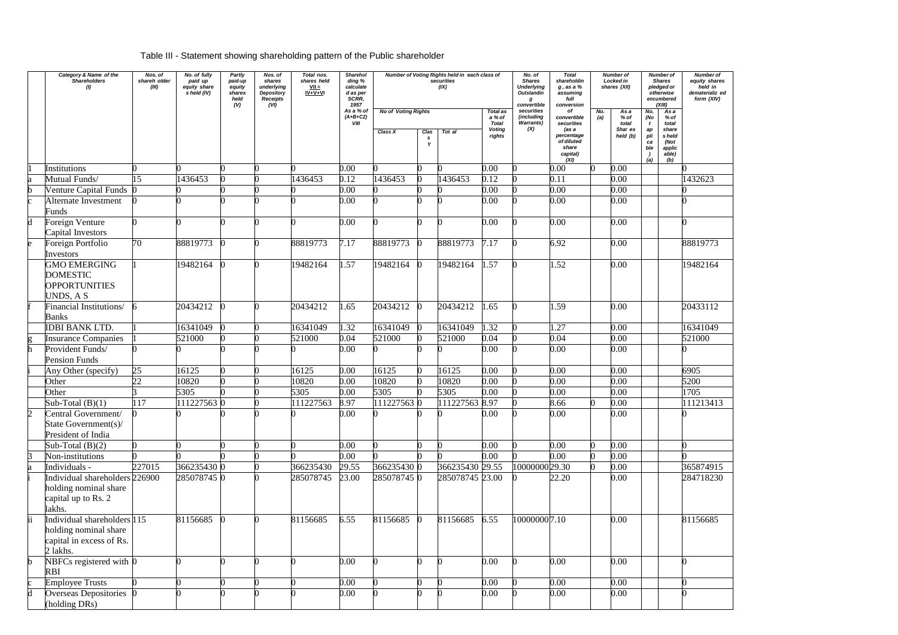## Table III - Statement showing shareholding pattern of the Public shareholder

|                | Category & Name of the<br><b>Shareholders</b><br>(1)                                         | Nos. of<br>shareh older<br>(III) | No. of fully<br>paid up<br>equity share<br>s held (IV) | <b>Partly</b><br>paid-up<br>equity<br>shares<br>held<br>(V) | Nos. of<br>shares<br>underlying<br>Depository<br>Receipts<br>(VI) | Total nos.<br>shares held<br>$VII =$<br>$IV + V + VI$ | Sharehol<br>ding %<br>calculate<br>d as per<br>SCRR,<br>1957 |                                       |                | Number of Voting Rights held in each class of<br>securities<br>(IX) |                                                               | No. of<br><b>Shares</b><br><b>Underlying</b><br><b>Outstandin</b><br>q<br>convertible | Total<br>shareholdin<br>$g$ , as a $%$<br>assuming<br>full<br>conversion |            | <b>Number of</b><br>Locked in<br>shares (XII)  |                                               | <b>Number of</b><br><b>Shares</b><br>pledged or<br>otherwise<br>encumbered<br>(XIII) | <b>Number of</b><br>equity shares<br>held in<br>dematerializ ed<br>form (XIV) |
|----------------|----------------------------------------------------------------------------------------------|----------------------------------|--------------------------------------------------------|-------------------------------------------------------------|-------------------------------------------------------------------|-------------------------------------------------------|--------------------------------------------------------------|---------------------------------------|----------------|---------------------------------------------------------------------|---------------------------------------------------------------|---------------------------------------------------------------------------------------|--------------------------------------------------------------------------|------------|------------------------------------------------|-----------------------------------------------|--------------------------------------------------------------------------------------|-------------------------------------------------------------------------------|
|                |                                                                                              |                                  |                                                        |                                                             |                                                                   |                                                       | As a % of<br>$(A+B+C2)$<br><b>VIII</b>                       | <b>No of Voting Rights</b><br>Class X | Clas<br>s<br>Y | Tot al                                                              | Total as<br>a % of<br><b>Total</b><br><b>Voting</b><br>rights | securities<br>(including<br><b>Warrants)</b><br>(X)                                   | of<br>convertible<br>securities<br>(as a<br>percentage<br>of diluted     | No.<br>(a) | As a<br>% of<br>total<br>Shar es<br>held $(b)$ | No.<br>(No<br>$\mathbf{t}$<br>аp<br>pli<br>ca | As a<br>$%$ of<br>total<br>share<br>s held<br>(Not                                   |                                                                               |
|                |                                                                                              |                                  |                                                        |                                                             |                                                                   |                                                       |                                                              |                                       |                |                                                                     |                                                               |                                                                                       | share<br>capital)<br>(XI)                                                |            |                                                | ble<br>(a)                                    | applic<br>able)<br>(b)                                                               |                                                                               |
|                | <b>Institutions</b>                                                                          |                                  |                                                        |                                                             |                                                                   |                                                       | 0.00                                                         | 0                                     |                |                                                                     | 0.00                                                          |                                                                                       | 0.00                                                                     | 0          | 0.00                                           |                                               |                                                                                      |                                                                               |
| а              | Mutual Funds/                                                                                | 15                               | 1436453                                                |                                                             |                                                                   | 1436453                                               | 0.12                                                         | 1436453                               |                | 1436453                                                             | 0.12                                                          |                                                                                       | 0.11                                                                     |            | 0.00                                           |                                               |                                                                                      | 1432623                                                                       |
| b.             | <b>Venture Capital Funds</b>                                                                 |                                  |                                                        |                                                             |                                                                   |                                                       | 0.00                                                         |                                       |                |                                                                     | 0.00                                                          |                                                                                       | 0.00                                                                     |            | 0.00                                           |                                               |                                                                                      |                                                                               |
|                | Alternate Investment<br>Funds                                                                |                                  |                                                        |                                                             |                                                                   |                                                       | 0.00                                                         |                                       |                |                                                                     | 0.00                                                          |                                                                                       | 0.00                                                                     |            | 0.00                                           |                                               |                                                                                      |                                                                               |
| k              | Foreign Venture<br>Capital Investors                                                         |                                  |                                                        |                                                             |                                                                   |                                                       | 0.00                                                         |                                       |                |                                                                     | 0.00                                                          |                                                                                       | 0.00                                                                     |            | 0.00                                           |                                               |                                                                                      |                                                                               |
| e              | Foreign Portfolio<br>Investors                                                               | 70                               | 88819773                                               |                                                             |                                                                   | 88819773                                              | 7.17                                                         | 88819773                              | $\mathbf{0}$   | 88819773                                                            | 7.17                                                          |                                                                                       | 6.92                                                                     |            | 0.00                                           |                                               |                                                                                      | 88819773                                                                      |
|                | <b>GMO EMERGING</b><br><b>DOMESTIC</b><br><b>OPPORTUNITIES</b><br>UNDS, A S                  |                                  | 19482164                                               |                                                             |                                                                   | 19482164                                              | .57                                                          | 19482164                              |                | 19482164                                                            | 1.57                                                          |                                                                                       | .52                                                                      |            | 0.00                                           |                                               |                                                                                      | 19482164                                                                      |
|                | Financial Institutions/<br><b>Banks</b>                                                      |                                  | 20434212                                               |                                                             |                                                                   | 20434212                                              | 1.65                                                         | 20434212                              |                | 20434212                                                            | .65                                                           |                                                                                       | .59                                                                      |            | 0.00                                           |                                               |                                                                                      | 20433112                                                                      |
|                | <b>IDBI BANK LTD.</b>                                                                        |                                  | 16341049                                               |                                                             |                                                                   | 16341049                                              | 1.32                                                         | 16341049                              |                | 16341049                                                            | 1.32                                                          |                                                                                       | 1.27                                                                     |            | 0.00                                           |                                               |                                                                                      | 16341049                                                                      |
| g              | <b>Insurance Companies</b>                                                                   |                                  | 521000                                                 |                                                             |                                                                   | 521000                                                | 0.04                                                         | 521000                                |                | 521000                                                              | 0.04                                                          |                                                                                       | 0.04                                                                     |            | 0.00                                           |                                               |                                                                                      | 521000                                                                        |
| h              | Provident Funds/<br><b>Pension Funds</b>                                                     |                                  |                                                        |                                                             |                                                                   |                                                       | 0.00                                                         |                                       |                |                                                                     | 0.00                                                          |                                                                                       | 0.00                                                                     |            | 0.00                                           |                                               |                                                                                      |                                                                               |
|                | Any Other (specify)                                                                          | 25                               | 16125                                                  |                                                             |                                                                   | 16125                                                 | 0.00                                                         | 16125                                 |                | 16125                                                               | 0.00                                                          |                                                                                       | 0.00                                                                     |            | 0.00                                           |                                               |                                                                                      | 6905                                                                          |
|                | Other                                                                                        | $\overline{22}$                  | 10820                                                  |                                                             |                                                                   | 10820                                                 | 0.00                                                         | 10820                                 |                | 10820                                                               | 0.00                                                          |                                                                                       | 0.00                                                                     |            | 0.00                                           |                                               |                                                                                      | 5200                                                                          |
|                | Other                                                                                        |                                  | 5305                                                   |                                                             |                                                                   | 5305                                                  | 0.00                                                         | 5305                                  |                | 5305                                                                | 0.00                                                          |                                                                                       | 0.00                                                                     |            | 0.00                                           |                                               |                                                                                      | 1705                                                                          |
|                | Sub-Total $(B)(1)$                                                                           | 117<br>1111                      | 1112275630                                             |                                                             |                                                                   | 111227563                                             | 8.97                                                         | 111227563 0                           |                | 111227563 8.97                                                      |                                                               |                                                                                       | 8.66                                                                     | n.         | 0.00                                           |                                               |                                                                                      | 111213413                                                                     |
| $\overline{2}$ | Central Government/<br>State Government(s)/<br>President of India                            |                                  |                                                        |                                                             |                                                                   |                                                       | 0.00                                                         |                                       |                |                                                                     | 0.00                                                          |                                                                                       | 0.00                                                                     |            | 0.00                                           |                                               |                                                                                      |                                                                               |
|                | Sub-Total $(B)(2)$                                                                           |                                  |                                                        |                                                             |                                                                   |                                                       | 0.00                                                         |                                       |                |                                                                     | 0.00                                                          |                                                                                       | 0.00                                                                     | 0          | 0.00                                           |                                               |                                                                                      |                                                                               |
| 3              | Non-institutions                                                                             |                                  |                                                        |                                                             |                                                                   |                                                       | 0.00                                                         |                                       |                |                                                                     | 0.00                                                          |                                                                                       | 0.00                                                                     |            | 0.00                                           |                                               |                                                                                      |                                                                               |
|                | Individuals -                                                                                | 227015                           | 366235430 0                                            |                                                             |                                                                   | 366235430                                             | 29.55                                                        | 366235430 0                           |                | 366235430 29.55                                                     |                                                               | 10000000 29.30                                                                        |                                                                          | 0          | 0.00                                           |                                               |                                                                                      | 365874915                                                                     |
|                | Individual shareholders 226900<br>holding nominal share<br>capital up to Rs. 2<br>lakhs.     |                                  | 285078745 0                                            |                                                             |                                                                   | 285078745                                             | 23.00                                                        | 285078745 0                           |                | 285078745 23.00                                                     |                                                               |                                                                                       | 22.20                                                                    |            | 0.00                                           |                                               |                                                                                      | 284718230                                                                     |
| ii             | Individual shareholders 115<br>holding nominal share<br>capital in excess of Rs.<br>2 lakhs. |                                  | 81156685                                               |                                                             |                                                                   | 81156685                                              | 6.55                                                         | 81156685                              |                | 81156685                                                            | 6.55                                                          | 100000007.10                                                                          |                                                                          |            | 0.00                                           |                                               |                                                                                      | 81156685                                                                      |
|                | NBFCs registered with $\vert 0 \vert$<br><b>RBI</b>                                          |                                  |                                                        |                                                             |                                                                   |                                                       | 0.00                                                         |                                       |                |                                                                     | 0.00                                                          |                                                                                       | 0.00                                                                     |            | 0.00                                           |                                               |                                                                                      |                                                                               |
|                | <b>Employee Trusts</b>                                                                       |                                  |                                                        |                                                             |                                                                   |                                                       | 0.00                                                         |                                       |                |                                                                     | 0.00                                                          |                                                                                       | 0.00                                                                     |            | 0.00                                           |                                               |                                                                                      |                                                                               |
| $\mathsf{d}$   | Overseas Depositories 0<br>(holding DRs)                                                     |                                  |                                                        |                                                             |                                                                   |                                                       | 0.00                                                         |                                       |                |                                                                     | 0.00                                                          |                                                                                       | 0.00                                                                     |            | 0.00                                           |                                               |                                                                                      |                                                                               |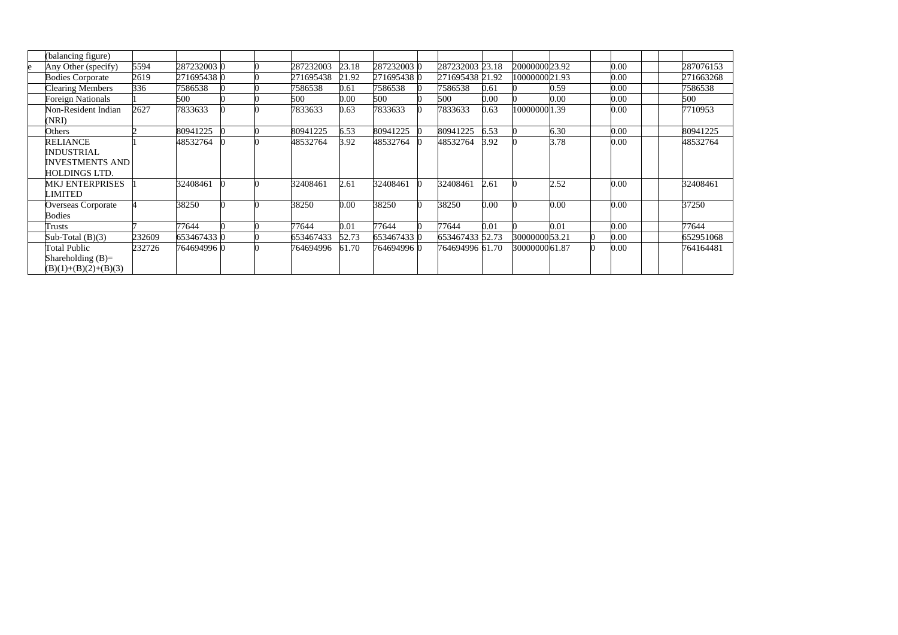| (balancing figure)           |        |                        |                |                                                          |           |       |          |                |                                                          |       |                                                                                          |          |                                                                                     |      |           |
|------------------------------|--------|------------------------|----------------|----------------------------------------------------------|-----------|-------|----------|----------------|----------------------------------------------------------|-------|------------------------------------------------------------------------------------------|----------|-------------------------------------------------------------------------------------|------|-----------|
| Any Other (specify)          | 5594   |                        |                |                                                          | 287232003 | 23.18 |          |                |                                                          |       |                                                                                          |          |                                                                                     | 0.00 | 287076153 |
| <b>Bodies Corporate</b>      | 2619   |                        |                |                                                          | 271695438 | 21.92 |          |                |                                                          |       |                                                                                          |          |                                                                                     | 0.00 | 271663268 |
| <b>Clearing Members</b>      | 336    | 7586538                |                |                                                          | 7586538   | 0.61  | 7586538  |                | 7586538                                                  | 0.61  |                                                                                          | 0.59     |                                                                                     | 0.00 | 7586538   |
| <b>Foreign Nationals</b>     |        | 500                    |                |                                                          | 500       | 0.00  | 500      |                | 500                                                      | 0.00  |                                                                                          | 0.00     |                                                                                     | 0.00 | 500       |
| Non-Resident Indian<br>(NRI) | 2627   | 7833633                |                |                                                          | 7833633   | 0.63  | 7833633  |                | 7833633                                                  | 0.63  |                                                                                          |          |                                                                                     | 0.00 | 7710953   |
| Others                       |        | 80941225               |                |                                                          | 80941225  | 6.53  | 80941225 |                | 80941225                                                 |       |                                                                                          | 6.30     |                                                                                     | 0.00 | 80941225  |
| <b>RELIANCE</b>              |        | 48532764               |                |                                                          | 48532764  | 3.92  | 48532764 |                | 48532764                                                 | 3.92  |                                                                                          | 3.78     |                                                                                     | 0.00 | 48532764  |
| <b>INDUSTRIAL</b>            |        |                        |                |                                                          |           |       |          |                |                                                          |       |                                                                                          |          |                                                                                     |      |           |
|                              |        |                        |                |                                                          |           |       |          |                |                                                          |       |                                                                                          |          |                                                                                     |      |           |
| HOLDINGS LTD.                |        |                        |                |                                                          |           |       |          |                |                                                          |       |                                                                                          |          |                                                                                     |      |           |
| <b>MKJ ENTERPRISES</b>       |        | 32408461               |                |                                                          | 32408461  | 2.61  | 32408461 |                | 32408461                                                 | 2.61  |                                                                                          | 2.52     |                                                                                     | 0.00 | 32408461  |
| LIMITED                      |        |                        |                |                                                          |           |       |          |                |                                                          |       |                                                                                          |          |                                                                                     |      |           |
| <b>Overseas Corporate</b>    |        |                        |                |                                                          | 38250     |       |          |                |                                                          | 0.00  |                                                                                          | 0.00     |                                                                                     | 0.00 | 37250     |
| <b>Bodies</b>                |        |                        |                |                                                          |           |       |          |                |                                                          |       |                                                                                          |          |                                                                                     |      |           |
| Trusts                       |        |                        |                |                                                          | 77644     | 0.01  |          |                | 77644                                                    |       |                                                                                          | $0.01\,$ |                                                                                     | 0.00 | 77644     |
| Sub-Total $(B)(3)$           | 232609 |                        |                |                                                          | 653467433 | 52.73 |          |                |                                                          |       |                                                                                          |          | 0                                                                                   | 0.00 | 652951068 |
| <b>Total Public</b>          | 232726 |                        |                |                                                          | 764694996 | 61.70 |          |                |                                                          |       |                                                                                          |          |                                                                                     | 0.00 | 764164481 |
| Shareholding $(B)=$          |        |                        |                |                                                          |           |       |          |                |                                                          |       |                                                                                          |          |                                                                                     |      |           |
| $(B)(1)+(B)(2)+(B)(3)$       |        |                        |                |                                                          |           |       |          |                |                                                          |       |                                                                                          |          |                                                                                     |      |           |
|                              |        | <b>INVESTMENTS AND</b> | 38250<br>77644 | 287232003 0<br>271695438 0<br>653467433 0<br>764694996 0 |           |       | $0.00\,$ | 38250<br>77644 | 287232003 0<br>271695438 0<br>653467433 0<br>764694996 0 | 38250 | 287232003 23.18<br>271695438 21.92<br>6.53<br>0.01<br>653467433 52.73<br>764694996 61.70 |          | 20000000 23.92<br>10000000 21.93<br>10000000 1.39<br>3000000053.21<br>3000000061.87 |      |           |